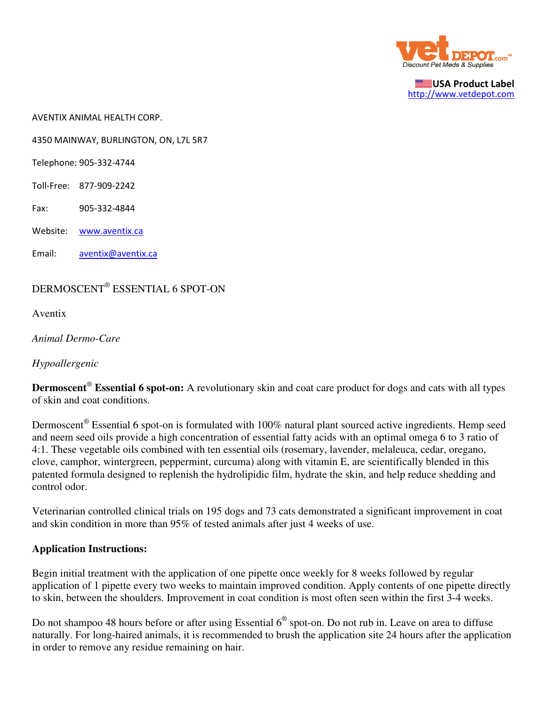

USA Product Label http://www.vetdepot.com

AVENTIX ANIMAL HEALTH CORP.

4350 MAINWAY, BURLINGTON, ON, L7L 5R7

Telephone: 905-332-4744

Toll-Free: 877-909-2242

Fax: 905-332-4844

Website: www.aventix.ca

Email: aventix@aventix.ca

## DERMOSCENT® ESSENTIAL 6 SPOT-ON

Aventix

*Animal Dermo-Care*

*Hypoallergenic*

**Dermoscent**®  **Essential 6 spot-on:** A revolutionary skin and coat care product for dogs and cats with all types of skin and coat conditions.

Dermoscent<sup>®</sup> Essential 6 spot-on is formulated with 100% natural plant sourced active ingredients. Hemp seed and neem seed oils provide a high concentration of essential fatty acids with an optimal omega 6 to 3 ratio of 4:1. These vegetable oils combined with ten essential oils (rosemary, lavender, melaleuca, cedar, oregano, clove, camphor, wintergreen, peppermint, curcuma) along with vitamin E, are scientifically blended in this patented formula designed to replenish the hydrolipidic film, hydrate the skin, and help reduce shedding and control odor.

Veterinarian controlled clinical trials on 195 dogs and 73 cats demonstrated a significant improvement in coat and skin condition in more than 95% of tested animals after just 4 weeks of use.

## **Application Instructions:**

Begin initial treatment with the application of one pipette once weekly for 8 weeks followed by regular application of 1 pipette every two weeks to maintain improved condition. Apply contents of one pipette directly to skin, between the shoulders. Improvement in coat condition is most often seen within the first 3-4 weeks.

Do not shampoo 48 hours before or after using Essential  $6^{\circ}$  spot-on. Do not rub in. Leave on area to diffuse naturally. For long-haired animals, it is recommended to brush the application site 24 hours after the application in order to remove any residue remaining on hair.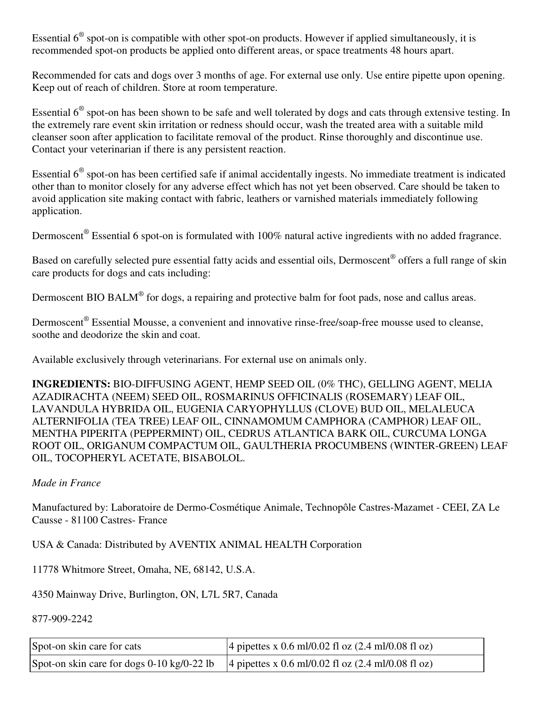Essential  $6^{\circ}$  spot-on is compatible with other spot-on products. However if applied simultaneously, it is recommended spot-on products be applied onto different areas, or space treatments 48 hours apart.

Recommended for cats and dogs over 3 months of age. For external use only. Use entire pipette upon opening. Keep out of reach of children. Store at room temperature.

Essential  $6^\circ$  spot-on has been shown to be safe and well tolerated by dogs and cats through extensive testing. In the extremely rare event skin irritation or redness should occur, wash the treated area with a suitable mild cleanser soon after application to facilitate removal of the product. Rinse thoroughly and discontinue use. Contact your veterinarian if there is any persistent reaction.

Essential  $6^\circ$  spot-on has been certified safe if animal accidentally ingests. No immediate treatment is indicated other than to monitor closely for any adverse effect which has not yet been observed. Care should be taken to avoid application site making contact with fabric, leathers or varnished materials immediately following application.

Dermoscent<sup>®</sup> Essential 6 spot-on is formulated with 100% natural active ingredients with no added fragrance.

Based on carefully selected pure essential fatty acids and essential oils, Dermoscent® offers a full range of skin care products for dogs and cats including:

Dermoscent BIO BALM® for dogs, a repairing and protective balm for foot pads, nose and callus areas.

Dermoscent<sup>®</sup> Essential Mousse, a convenient and innovative rinse-free/soap-free mousse used to cleanse, soothe and deodorize the skin and coat.

Available exclusively through veterinarians. For external use on animals only.

**INGREDIENTS:** BIO-DIFFUSING AGENT, HEMP SEED OIL (0% THC), GELLING AGENT, MELIA AZADIRACHTA (NEEM) SEED OIL, ROSMARINUS OFFICINALIS (ROSEMARY) LEAF OIL, LAVANDULA HYBRIDA OIL, EUGENIA CARYOPHYLLUS (CLOVE) BUD OIL, MELALEUCA ALTERNIFOLIA (TEA TREE) LEAF OIL, CINNAMOMUM CAMPHORA (CAMPHOR) LEAF OIL, MENTHA PIPERITA (PEPPERMINT) OIL, CEDRUS ATLANTICA BARK OIL, CURCUMA LONGA ROOT OIL, ORIGANUM COMPACTUM OIL, GAULTHERIA PROCUMBENS (WINTER-GREEN) LEAF OIL, TOCOPHERYL ACETATE, BISABOLOL.

## *Made in France*

Manufactured by: Laboratoire de Dermo-Cosmétique Animale, Technopôle Castres-Mazamet - CEEI, ZA Le Causse - 81100 Castres- France

USA & Canada: Distributed by AVENTIX ANIMAL HEALTH Corporation

11778 Whitmore Street, Omaha, NE, 68142, U.S.A.

4350 Mainway Drive, Burlington, ON, L7L 5R7, Canada

877-909-2242

| Spot-on skin care for cats | 4 pipettes x 0.6 ml/0.02 fl oz $(2.4 \text{ ml}/0.08 \text{ fl oz})$                                  |
|----------------------------|-------------------------------------------------------------------------------------------------------|
|                            | Spot-on skin care for dogs 0-10 kg/0-22 lb $\vert$ 4 pipettes x 0.6 ml/0.02 fl oz (2.4 ml/0.08 fl oz) |